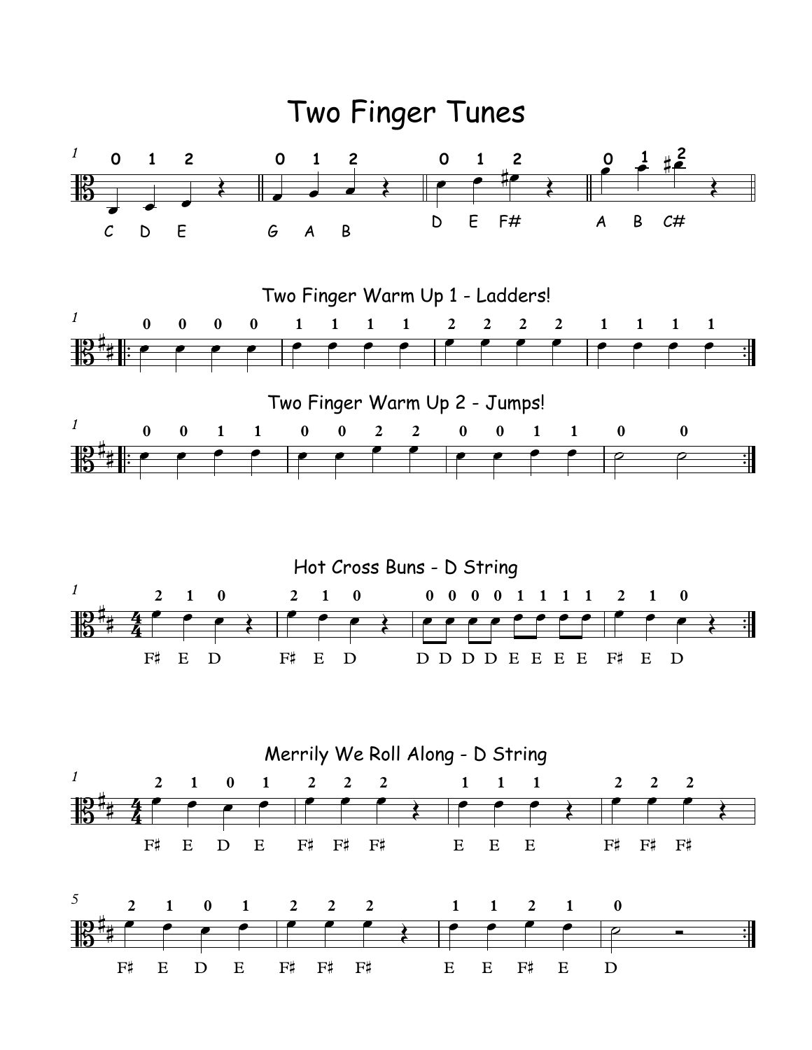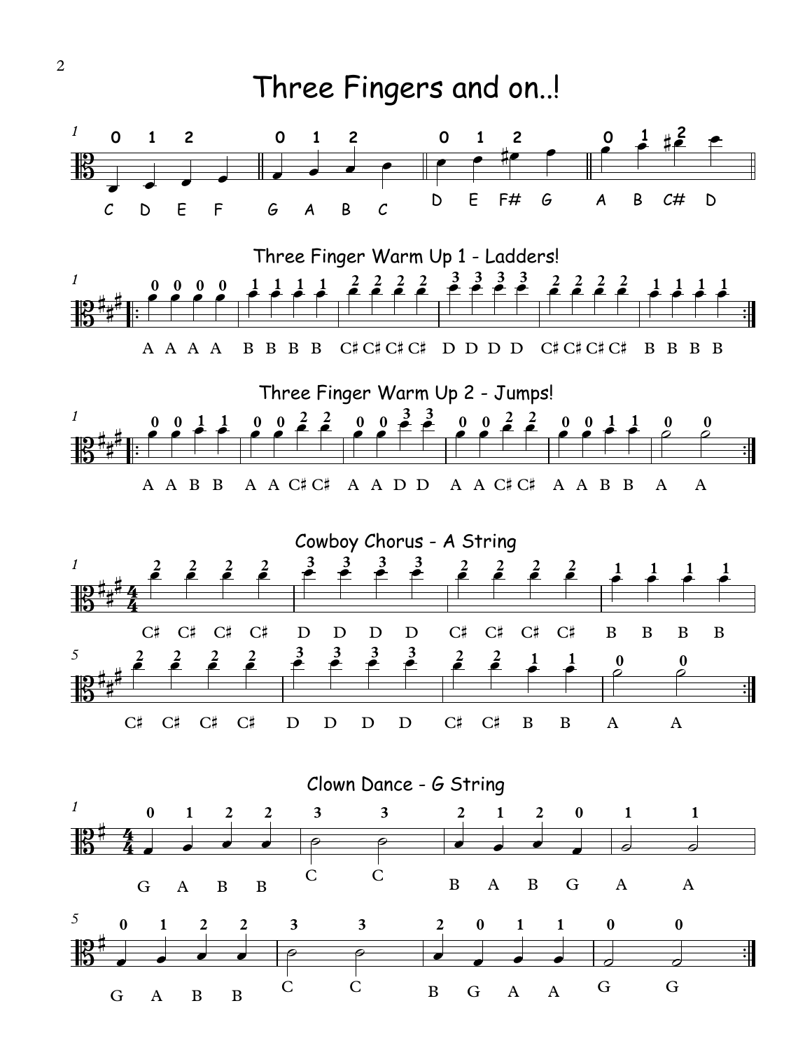

2